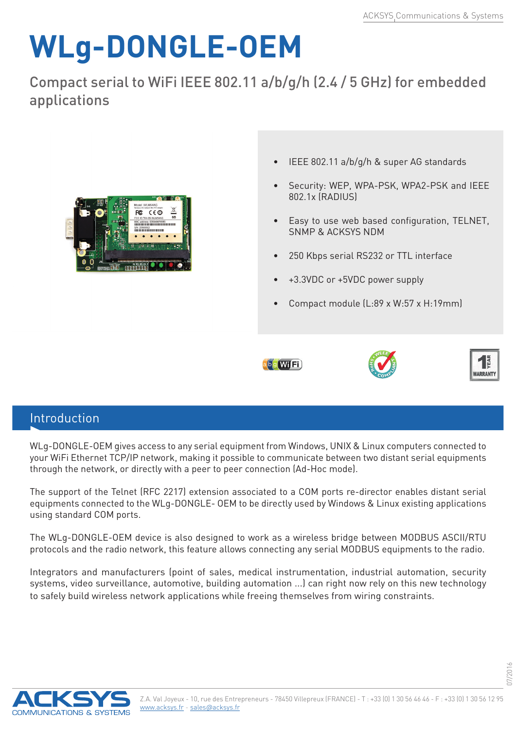## **WLg-DONGLE-OEM**

Compact serial to WiFi IEEE 802.11 a/b/g/h (2.4 / 5 GHz) for embedded applications



- IEEE 802.11 a/b/g/h & super AG standards
- Security: WEP, WPA-PSK, WPA2-PSK and IEEE 802.1x (RADIUS)
- Easy to use web based configuration, TELNET, SNMP & ACKSYS NDM
- 250 Kbps serial RS232 or TTL interface
- +3.3VDC or +5VDC power supply
- Compact module (L:89 x W:57 x H:19mm)







07/2016

## Introduction

WLg-DONGLE-OEM gives access to any serial equipment from Windows, UNIX & Linux computers connected to your WiFi Ethernet TCP/IP network, making it possible to communicate between two distant serial equipments through the network, or directly with a peer to peer connection (Ad-Hoc mode).

The support of the Telnet (RFC 2217) extension associated to a COM ports re-director enables distant serial equipments connected to the WLg-DONGLE- OEM to be directly used by Windows & Linux existing applications using standard COM ports.

The WLg-DONGLE-OEM device is also designed to work as a wireless bridge between MODBUS ASCII/RTU protocols and the radio network, this feature allows connecting any serial MODBUS equipments to the radio.

Integrators and manufacturers (point of sales, medical instrumentation, industrial automation, security systems, video surveillance, automotive, building automation ...) can right now rely on this new technology to safely build wireless network applications while freeing themselves from wiring constraints.